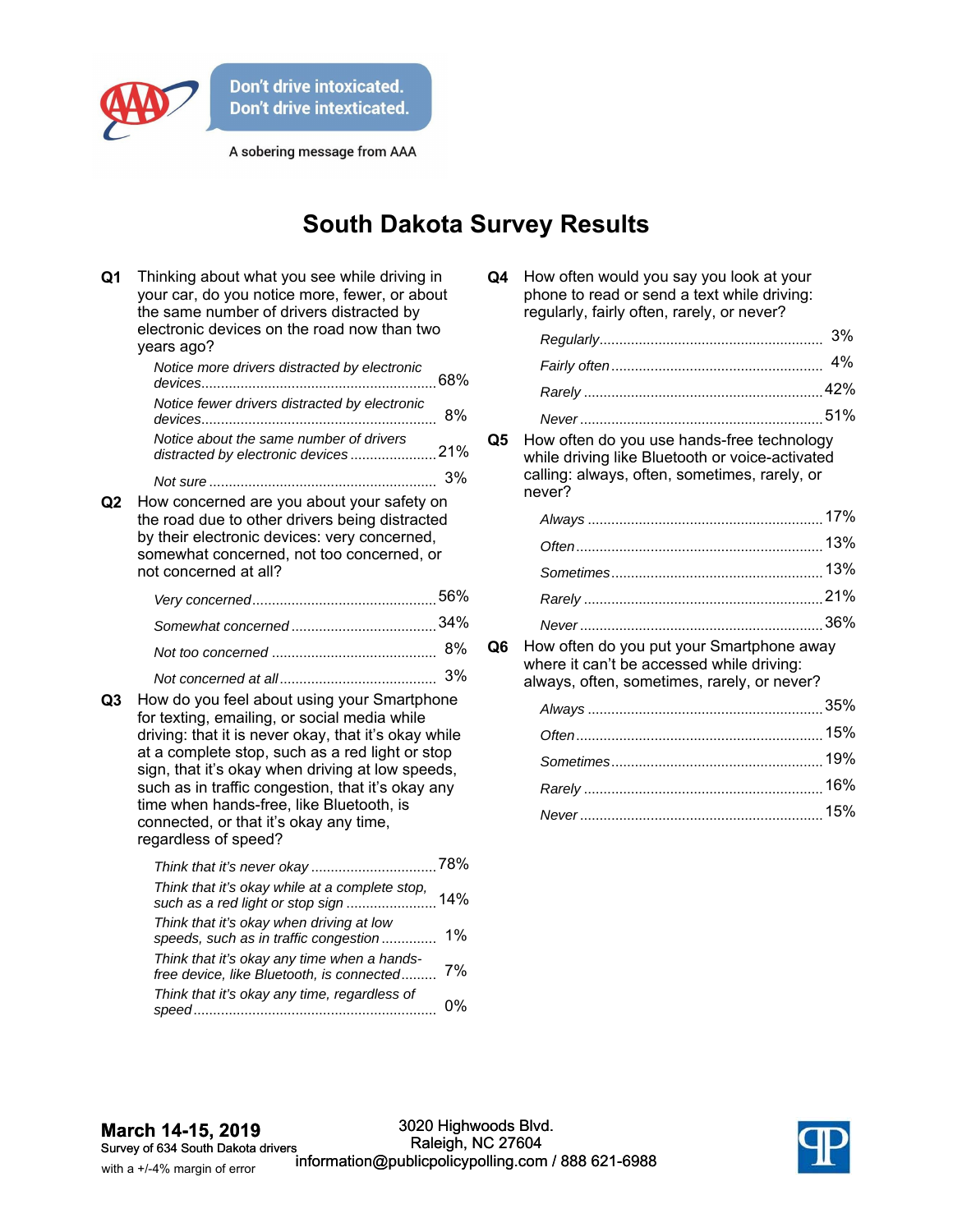

A sobering message from AAA

## **South Dakota Survey Results**

| Q <sub>1</sub> | Thinking about what you see while driving in<br>your car, do you notice more, fewer, or about<br>the same number of drivers distracted by<br>electronic devices on the road now than two<br>years ago?                                                                                                                                                                                                                        |       |
|----------------|-------------------------------------------------------------------------------------------------------------------------------------------------------------------------------------------------------------------------------------------------------------------------------------------------------------------------------------------------------------------------------------------------------------------------------|-------|
|                | Notice more drivers distracted by electronic                                                                                                                                                                                                                                                                                                                                                                                  |       |
|                | Notice fewer drivers distracted by electronic                                                                                                                                                                                                                                                                                                                                                                                 | 8%    |
|                | Notice about the same number of drivers<br>distracted by electronic devices21%                                                                                                                                                                                                                                                                                                                                                |       |
|                |                                                                                                                                                                                                                                                                                                                                                                                                                               | 3%    |
| Q2             | How concerned are you about your safety on<br>the road due to other drivers being distracted<br>by their electronic devices: very concerned,<br>somewhat concerned, not too concerned, or<br>not concerned at all?                                                                                                                                                                                                            |       |
|                |                                                                                                                                                                                                                                                                                                                                                                                                                               |       |
|                |                                                                                                                                                                                                                                                                                                                                                                                                                               |       |
|                |                                                                                                                                                                                                                                                                                                                                                                                                                               | 8%    |
|                |                                                                                                                                                                                                                                                                                                                                                                                                                               | 3%    |
| Q3             | How do you feel about using your Smartphone<br>for texting, emailing, or social media while<br>driving: that it is never okay, that it's okay while<br>at a complete stop, such as a red light or stop<br>sign, that it's okay when driving at low speeds,<br>such as in traffic congestion, that it's okay any<br>time when hands-free, like Bluetooth, is<br>connected, or that it's okay any time,<br>regardless of speed? |       |
|                |                                                                                                                                                                                                                                                                                                                                                                                                                               |       |
|                | Think that it's okay while at a complete stop,                                                                                                                                                                                                                                                                                                                                                                                |       |
|                | Think that it's okay when driving at low<br>speeds, such as in traffic congestion                                                                                                                                                                                                                                                                                                                                             | $1\%$ |
|                | Think that it's okay any time when a hands-<br>free device, like Bluetooth, is connected                                                                                                                                                                                                                                                                                                                                      | 7%    |
|                | Think that it's okay any time, regardless of                                                                                                                                                                                                                                                                                                                                                                                  | 0%    |

| Q4 | How often would you say you look at your    |
|----|---------------------------------------------|
|    | phone to read or send a text while driving: |
|    | regularly, fairly often, rarely, or never?  |

**Q5** How often do you use hands-free technology while driving like Bluetooth or voice-activated calling: always, often, sometimes, rarely, or never?

**Q6** How often do you put your Smartphone away where it can't be accessed while driving: always, often, sometimes, rarely, or never?